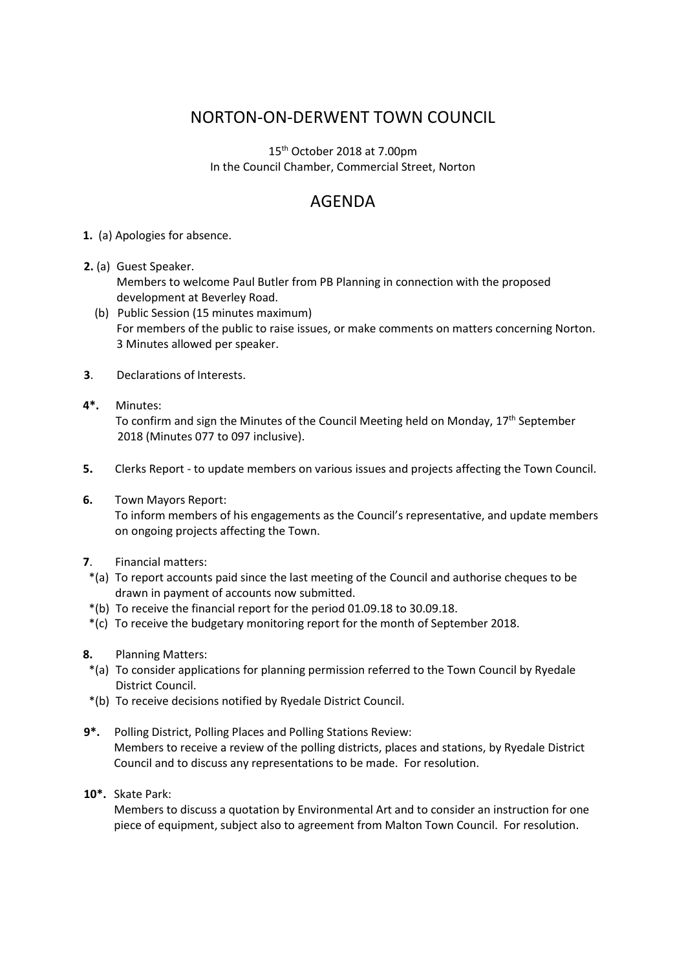## NORTON-ON-DERWENT TOWN COUNCIL

15th October 2018 at 7.00pm In the Council Chamber, Commercial Street, Norton

## AGENDA

## **1.** (a) Apologies for absence.

- **2.** (a) Guest Speaker.
	- Members to welcome Paul Butler from PB Planning in connection with the proposed development at Beverley Road.
	- (b) Public Session (15 minutes maximum) For members of the public to raise issues, or make comments on matters concerning Norton. 3 Minutes allowed per speaker.
- **3**. Declarations of Interests.
- **4\*.** Minutes: To confirm and sign the Minutes of the Council Meeting held on Monday,  $17<sup>th</sup>$  September 2018 (Minutes 077 to 097 inclusive).
- **5.** Clerks Report to update members on various issues and projects affecting the Town Council.
- **6.** Town Mayors Report:

 To inform members of his engagements as the Council's representative, and update members on ongoing projects affecting the Town.

- **7**. Financial matters:
- \*(a) To report accounts paid since the last meeting of the Council and authorise cheques to be drawn in payment of accounts now submitted.
- \*(b) To receive the financial report for the period 01.09.18 to 30.09.18.
- \*(c) To receive the budgetary monitoring report for the month of September 2018.
- **8.** Planning Matters:
- \*(a) To consider applications for planning permission referred to the Town Council by Ryedale District Council.
- \*(b) To receive decisions notified by Ryedale District Council.
- **9\*.** Polling District, Polling Places and Polling Stations Review: Members to receive a review of the polling districts, places and stations, by Ryedale District Council and to discuss any representations to be made. For resolution.
- **10\*.** Skate Park:

Members to discuss a quotation by Environmental Art and to consider an instruction for one piece of equipment, subject also to agreement from Malton Town Council. For resolution.